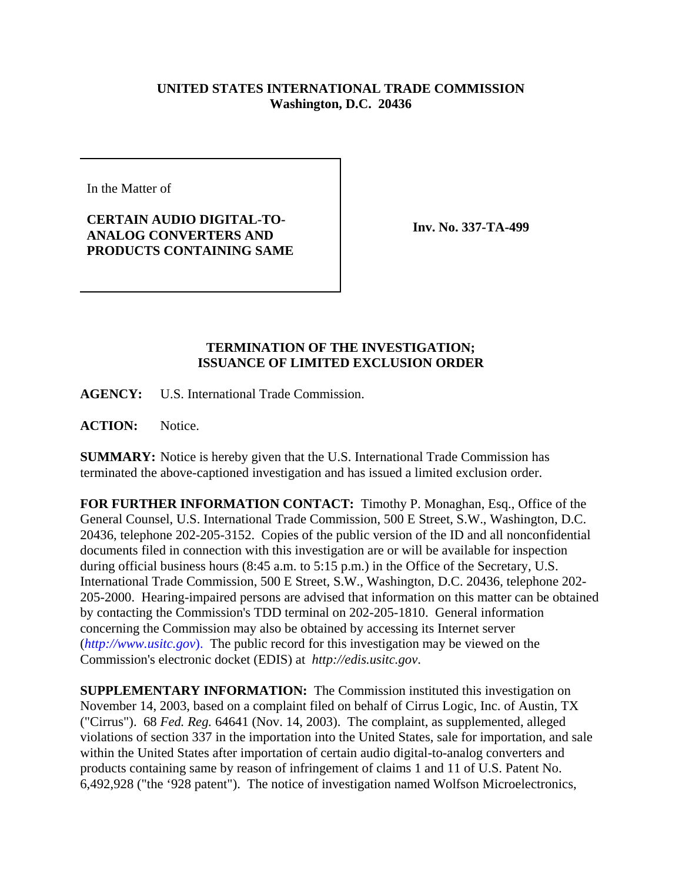## **UNITED STATES INTERNATIONAL TRADE COMMISSION Washington, D.C. 20436**

In the Matter of

## **CERTAIN AUDIO DIGITAL-TO-ANALOG CONVERTERS AND PRODUCTS CONTAINING SAME**

**Inv. No. 337-TA-499**

## **TERMINATION OF THE INVESTIGATION; ISSUANCE OF LIMITED EXCLUSION ORDER**

**AGENCY:** U.S. International Trade Commission.

**ACTION:** Notice.

**SUMMARY:** Notice is hereby given that the U.S. International Trade Commission has terminated the above-captioned investigation and has issued a limited exclusion order.

**FOR FURTHER INFORMATION CONTACT:** Timothy P. Monaghan, Esq., Office of the General Counsel, U.S. International Trade Commission, 500 E Street, S.W., Washington, D.C. 20436, telephone 202-205-3152. Copies of the public version of the ID and all nonconfidential documents filed in connection with this investigation are or will be available for inspection during official business hours (8:45 a.m. to 5:15 p.m.) in the Office of the Secretary, U.S. International Trade Commission, 500 E Street, S.W., Washington, D.C. 20436, telephone 202- 205-2000. Hearing-impaired persons are advised that information on this matter can be obtained by contacting the Commission's TDD terminal on 202-205-1810. General information concerning the Commission may also be obtained by accessing its Internet server (*http://www.usitc.gov*). The public record for this investigation may be viewed on the Commission's electronic docket (EDIS) at *http://edis.usitc.gov*.

**SUPPLEMENTARY INFORMATION:** The Commission instituted this investigation on November 14, 2003, based on a complaint filed on behalf of Cirrus Logic, Inc. of Austin, TX ("Cirrus"). 68 *Fed. Reg.* 64641 (Nov. 14, 2003). The complaint, as supplemented, alleged violations of section 337 in the importation into the United States, sale for importation, and sale within the United States after importation of certain audio digital-to-analog converters and products containing same by reason of infringement of claims 1 and 11 of U.S. Patent No. 6,492,928 ("the '928 patent"). The notice of investigation named Wolfson Microelectronics,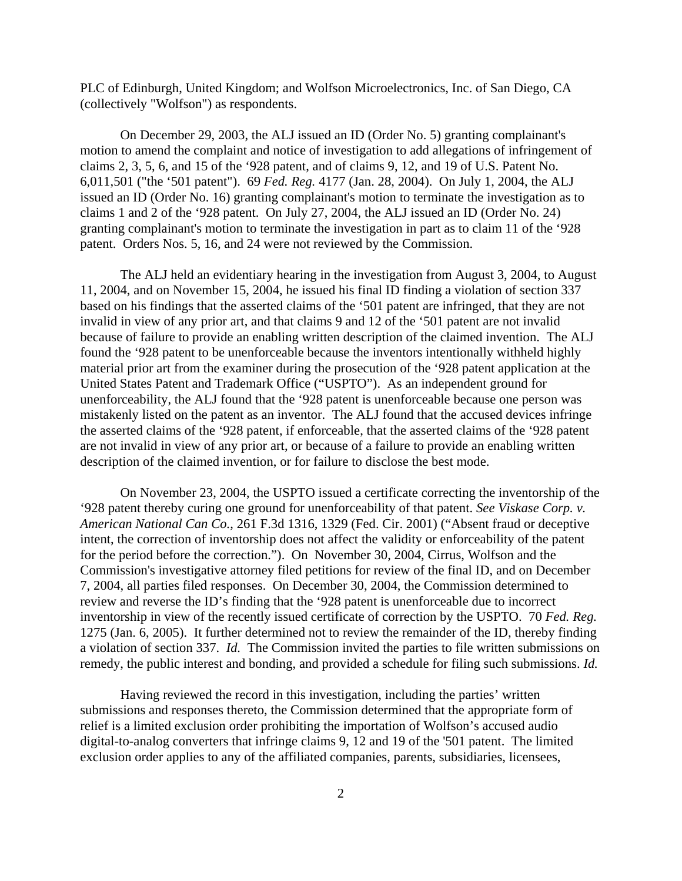PLC of Edinburgh, United Kingdom; and Wolfson Microelectronics, Inc. of San Diego, CA (collectively "Wolfson") as respondents.

On December 29, 2003, the ALJ issued an ID (Order No. 5) granting complainant's motion to amend the complaint and notice of investigation to add allegations of infringement of claims 2, 3, 5, 6, and 15 of the '928 patent, and of claims 9, 12, and 19 of U.S. Patent No. 6,011,501 ("the '501 patent"). 69 *Fed. Reg.* 4177 (Jan. 28, 2004). On July 1, 2004, the ALJ issued an ID (Order No. 16) granting complainant's motion to terminate the investigation as to claims 1 and 2 of the '928 patent. On July 27, 2004, the ALJ issued an ID (Order No. 24) granting complainant's motion to terminate the investigation in part as to claim 11 of the '928 patent. Orders Nos. 5, 16, and 24 were not reviewed by the Commission.

The ALJ held an evidentiary hearing in the investigation from August 3, 2004, to August 11, 2004, and on November 15, 2004, he issued his final ID finding a violation of section 337 based on his findings that the asserted claims of the '501 patent are infringed, that they are not invalid in view of any prior art, and that claims 9 and 12 of the '501 patent are not invalid because of failure to provide an enabling written description of the claimed invention. The ALJ found the '928 patent to be unenforceable because the inventors intentionally withheld highly material prior art from the examiner during the prosecution of the '928 patent application at the United States Patent and Trademark Office ("USPTO"). As an independent ground for unenforceability, the ALJ found that the '928 patent is unenforceable because one person was mistakenly listed on the patent as an inventor. The ALJ found that the accused devices infringe the asserted claims of the '928 patent, if enforceable, that the asserted claims of the '928 patent are not invalid in view of any prior art, or because of a failure to provide an enabling written description of the claimed invention, or for failure to disclose the best mode.

On November 23, 2004, the USPTO issued a certificate correcting the inventorship of the '928 patent thereby curing one ground for unenforceability of that patent. *See Viskase Corp. v. American National Can Co.*, 261 F.3d 1316, 1329 (Fed. Cir. 2001) ("Absent fraud or deceptive intent, the correction of inventorship does not affect the validity or enforceability of the patent for the period before the correction."). On November 30, 2004, Cirrus, Wolfson and the Commission's investigative attorney filed petitions for review of the final ID, and on December 7, 2004, all parties filed responses. On December 30, 2004, the Commission determined to review and reverse the ID's finding that the '928 patent is unenforceable due to incorrect inventorship in view of the recently issued certificate of correction by the USPTO. 70 *Fed. Reg.* 1275 (Jan. 6, 2005). It further determined not to review the remainder of the ID, thereby finding a violation of section 337. *Id.* The Commission invited the parties to file written submissions on remedy, the public interest and bonding, and provided a schedule for filing such submissions. *Id.*

Having reviewed the record in this investigation, including the parties' written submissions and responses thereto, the Commission determined that the appropriate form of relief is a limited exclusion order prohibiting the importation of Wolfson's accused audio digital-to-analog converters that infringe claims 9, 12 and 19 of the '501 patent. The limited exclusion order applies to any of the affiliated companies, parents, subsidiaries, licensees,